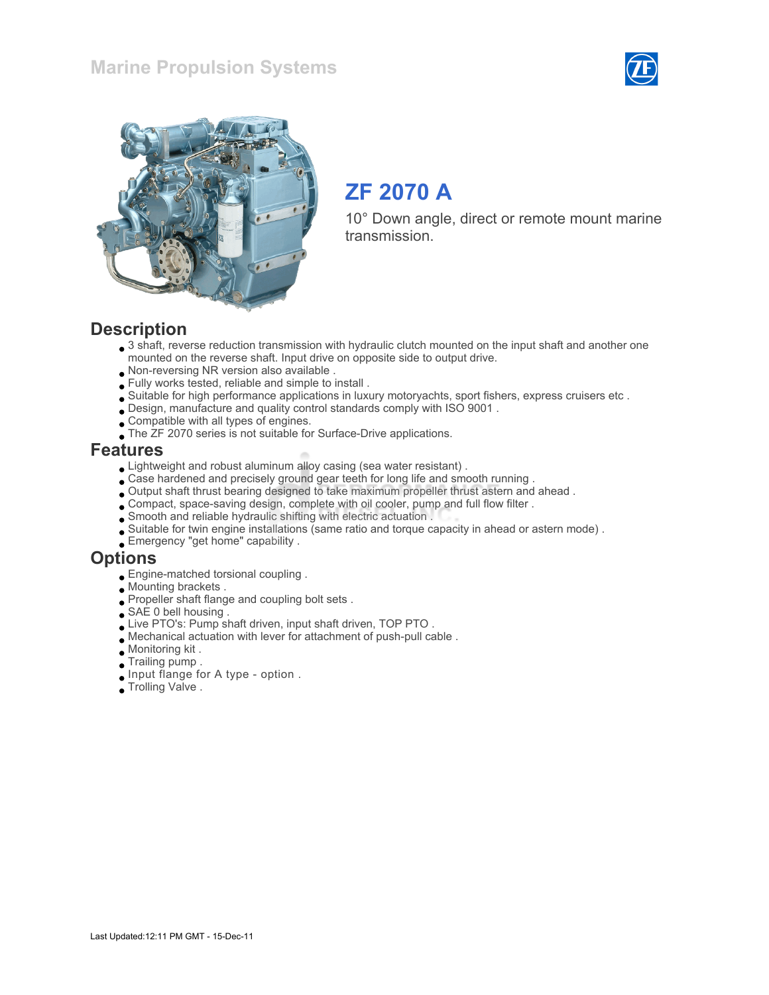



# ZF 2070 A

10° Down angle, direct or remote mount marine transmission.

### **Description**

- $\bullet$  3 shaft, reverse reduction transmission with hydraulic clutch mounted on the input shaft and another one mounted on the reverse shaft. Input drive on opposite side to output drive.
- Non-reversing NR version also available .
- Fully works tested, reliable and simple to install .
- Suitable for high performance applications in luxury motoryachts, sport fishers, express cruisers etc .
- Design, manufacture and quality control standards comply with ISO 9001 .
- Compatible with all types of engines.
- The ZF 2070 series is not suitable for Surface-Drive applications.

#### Features

- Lightweight and robust aluminum alloy casing (sea water resistant) .
- Case hardened and precisely ground gear teeth for long life and smooth running .
- Output shaft thrust bearing designed to take maximum propeller thrust astern and ahead .
- Compact, space-saving design, complete with oil cooler, pump and full flow filter .
- Smooth and reliable hydraulic shifting with electric actuation .
- Suitable for twin engine installations (same ratio and torque capacity in ahead or astern mode) .
- Emergency "get home" capability .

#### **Options**

- Engine-matched torsional coupling .
- Mounting brackets .
- Propeller shaft flange and coupling bolt sets .
- SAE 0 bell housing.
- Live PTO's: Pump shaft driven, input shaft driven, TOP PTO .
- Mechanical actuation with lever for attachment of push-pull cable .
- Monitoring kit .
- Trailing pump .
- Input flange for A type option .
- Trolling Valve .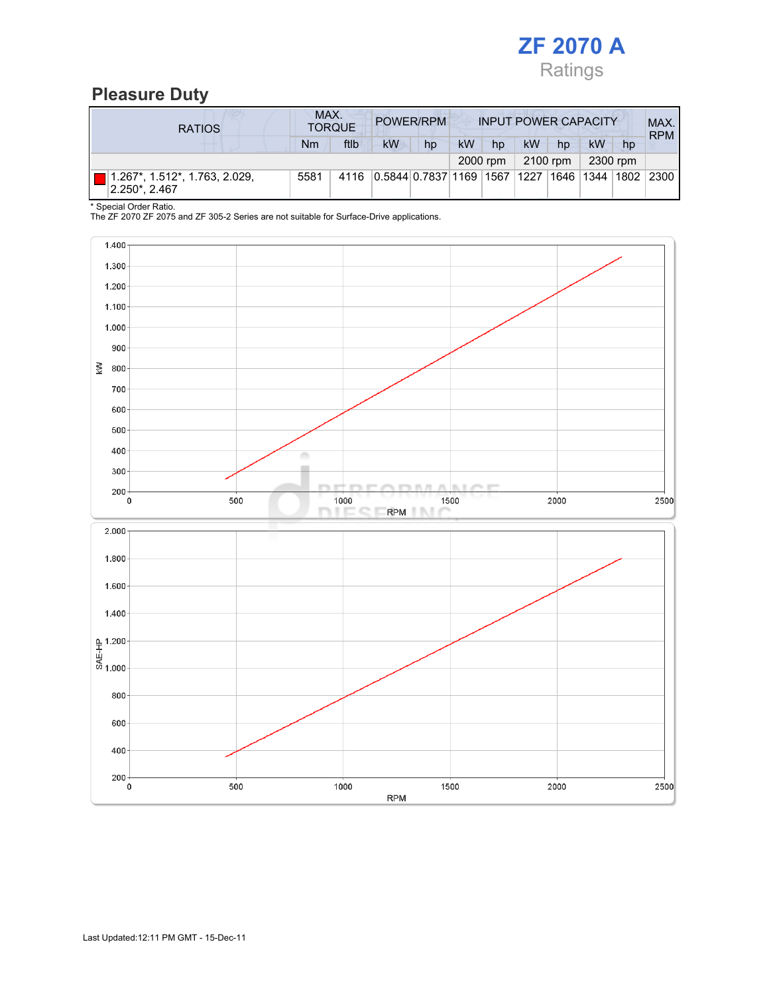

# Pleasure Duty

| <b>RATIOS</b>                                  | MAX.<br>POWER/RPM<br><b>INPUT POWER CAPACITY</b><br><b>TORQUE</b> |      |                                            |    |    |    |    | MAX.<br><b>RPM</b> |    |                        |      |
|------------------------------------------------|-------------------------------------------------------------------|------|--------------------------------------------|----|----|----|----|--------------------|----|------------------------|------|
|                                                | Nm                                                                | ftlb | <b>kW</b>                                  | hp | kW | hp | kW | hp                 | kW | hp                     |      |
| 2300 rpm<br>2100 rpm<br>2000 rpm               |                                                                   |      |                                            |    |    |    |    |                    |    |                        |      |
| 1.267*, 1.512*, 1.763, 2.029,<br>2.250*, 2.467 | 5581                                                              | 4116 | 0.5844 0.7837 1169  1567  1227  1646  1344 |    |    |    |    |                    |    | ` <sup>⊺</sup> 1802 ⊧. | 2300 |

<sup>\*</sup> Special Order Ratio.

The ZF 2070 ZF 2075 and ZF 305-2 Series are not suitable for Surface-Drive applications.

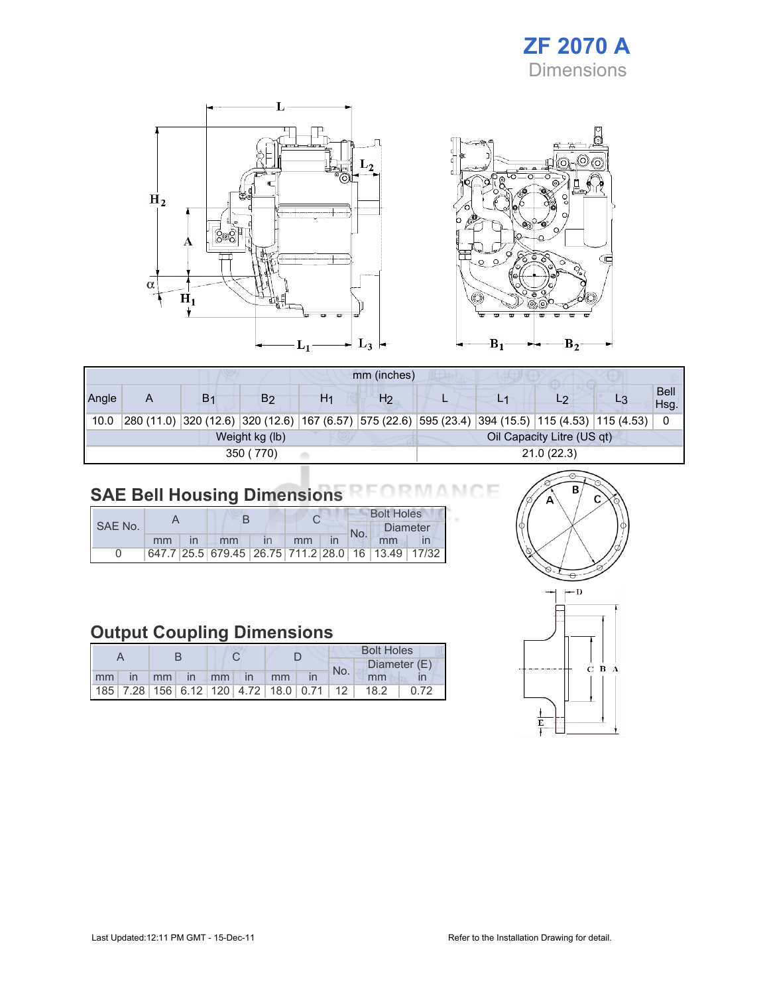# ZF 2070 A Dimensions



|       | mm (inches) |                |                |            |                |  |  |                                                                                                    |  |                     |  |
|-------|-------------|----------------|----------------|------------|----------------|--|--|----------------------------------------------------------------------------------------------------|--|---------------------|--|
| Angle | A           | B <sub>1</sub> | B <sub>2</sub> | H1         | H <sub>2</sub> |  |  | L2                                                                                                 |  | <b>Bell</b><br>Hsg. |  |
| 10.0  |             |                |                |            |                |  |  | 280 (11.0) 320 (12.6) 320 (12.6) 167 (6.57) 575 (22.6) 595 (23.4) 394 (15.5) 115 (4.53) 115 (4.53) |  | 0                   |  |
|       |             |                | Weight kg (lb) |            |                |  |  | Oil Capacity Litre (US qt)                                                                         |  |                     |  |
|       |             |                | 350 (770)      | 21.0(22.3) |                |  |  |                                                                                                    |  |                     |  |

#### SAE Bell Housing Dimensions **RMANO** ١F

|         |    |  |                                                   |  |    | <b>Bolt Holes</b> |          |  |  |
|---------|----|--|---------------------------------------------------|--|----|-------------------|----------|--|--|
| SAE No. |    |  |                                                   |  |    | No.               | Diameter |  |  |
|         | mm |  | mm                                                |  | mm |                   | mm       |  |  |
|         |    |  | 647.7 25.5 679.45 26.75 711.2 28.0 16 13.49 17/32 |  |    |                   |          |  |  |

# Output Coupling Dimensions

|    |              |    |                   |    |              | <b>Bolt Holes</b>                                  |  |     |              |  |  |
|----|--------------|----|-------------------|----|--------------|----------------------------------------------------|--|-----|--------------|--|--|
|    |              |    |                   |    |              |                                                    |  | No. | Diameter (E) |  |  |
| mm | $\mathsf{I}$ | mm | $\blacksquare$ In | mm | $\mathsf{I}$ | mm                                                 |  |     | mm           |  |  |
|    |              |    |                   |    |              | 185   7.28   156   6.12   120   4.72   18.0   0.71 |  | 12  | 18.2         |  |  |